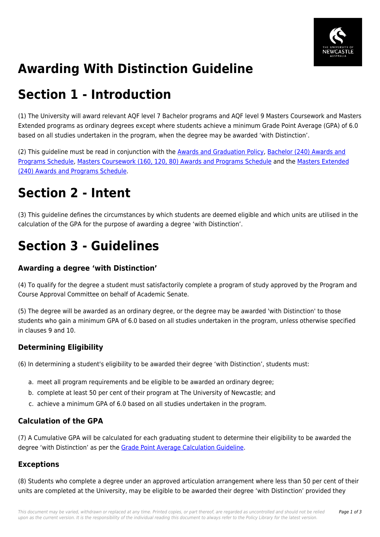

# **Awarding With Distinction Guideline**

# **Section 1 - Introduction**

(1) The University will award relevant AQF level 7 Bachelor programs and AQF level 9 Masters Coursework and Masters Extended programs as ordinary degrees except where students achieve a minimum Grade Point Average (GPA) of 6.0 based on all studies undertaken in the program, when the degree may be awarded 'with Distinction'.

(2) This guideline must be read in conjunction with the [Awards and Graduation Policy](https://policies.newcastle.edu.au/document/view-current.php?id=61), [Bachelor \(240\) Awards and](https://policies.newcastle.edu.au/document/view-current.php?id=218) [Programs Schedule,](https://policies.newcastle.edu.au/document/view-current.php?id=218) [Masters Coursework \(160, 120, 80\) Awards and Programs Schedule](https://policies.newcastle.edu.au/document/view-current.php?id=111) and the [Masters Extended](https://policies.newcastle.edu.au/document/view-current.php?id=110) [\(240\) Awards and Programs Schedule](https://policies.newcastle.edu.au/document/view-current.php?id=110).

# **Section 2 - Intent**

(3) This guideline defines the circumstances by which students are deemed eligible and which units are utilised in the calculation of the GPA for the purpose of awarding a degree 'with Distinction'.

# **Section 3 - Guidelines**

## **Awarding a degree 'with Distinction'**

(4) To qualify for the degree a student must satisfactorily complete a program of study approved by the Program and Course Approval Committee on behalf of Academic Senate.

(5) The degree will be awarded as an ordinary degree, or the degree may be awarded 'with Distinction' to those students who gain a minimum GPA of 6.0 based on all studies undertaken in the program, unless otherwise specified in clauses 9 and 10.

## **Determining Eligibility**

(6) In determining a student's eligibility to be awarded their degree 'with Distinction', students must:

- a. meet all program requirements and be eligible to be awarded an ordinary degree;
- b. complete at least 50 per cent of their program at The University of Newcastle; and
- c. achieve a minimum GPA of 6.0 based on all studies undertaken in the program.

### **Calculation of the GPA**

(7) A Cumulative GPA will be calculated for each graduating student to determine their eligibility to be awarded the degree 'with Distinction' as per the [Grade Point Average Calculation Guideline.](https://policies.newcastle.edu.au/document/view-current.php?id=157)

### **Exceptions**

(8) Students who complete a degree under an approved articulation arrangement where less than 50 per cent of their units are completed at the University, may be eligible to be awarded their degree 'with Distinction' provided they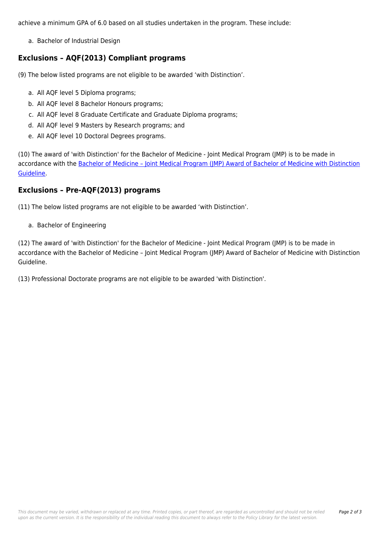achieve a minimum GPA of 6.0 based on all studies undertaken in the program. These include:

a. Bachelor of Industrial Design

#### **Exclusions – AQF(2013) Compliant programs**

(9) The below listed programs are not eligible to be awarded 'with Distinction'.

- a. All AQF level 5 Diploma programs;
- b. All AQF level 8 Bachelor Honours programs;
- c. All AQF level 8 Graduate Certificate and Graduate Diploma programs;
- d. All AQF level 9 Masters by Research programs; and
- e. All AQF level 10 Doctoral Degrees programs.

(10) The award of 'with Distinction' for the Bachelor of Medicine - Joint Medical Program (JMP) is to be made in accordance with the [Bachelor of Medicine – Joint Medical Program \(JMP\) Award of Bachelor of Medicine with Distinction](https://policies.newcastle.edu.au/download.php?id=363&version=1&associated) [Guideline](https://policies.newcastle.edu.au/download.php?id=363&version=1&associated).

#### **Exclusions – Pre-AQF(2013) programs**

(11) The below listed programs are not eligible to be awarded 'with Distinction'.

a. Bachelor of Engineering

(12) The award of 'with Distinction' for the Bachelor of Medicine - Joint Medical Program (JMP) is to be made in accordance with the Bachelor of Medicine – Joint Medical Program (JMP) Award of Bachelor of Medicine with Distinction Guideline.

(13) Professional Doctorate programs are not eligible to be awarded 'with Distinction'.